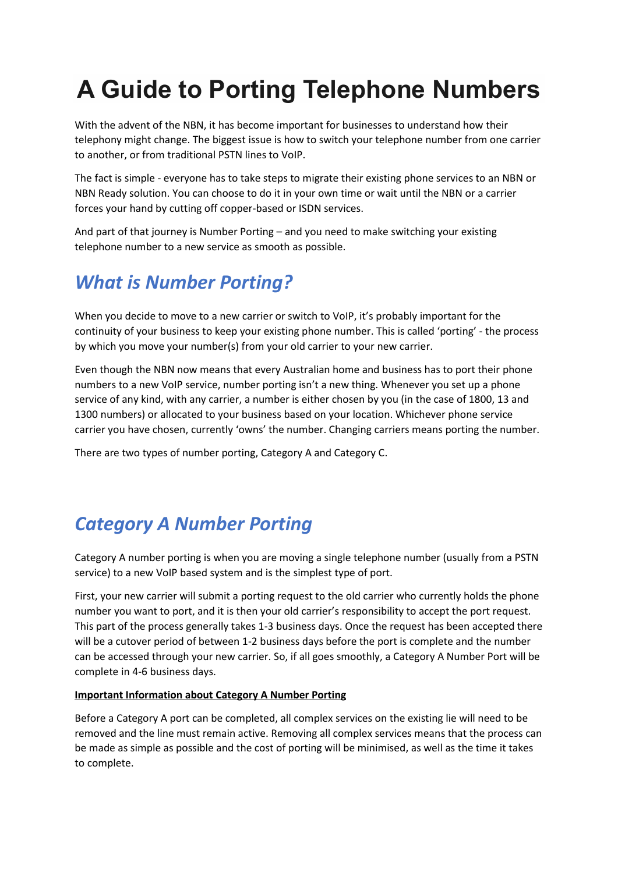# **A Guide to Porting Telephone Numbers**

With the advent of the NBN, it has become important for businesses to understand how their telephony might change. The biggest issue is how to switch your telephone number from one carrier to another, or from traditional PSTN lines to VoIP.

The fact is simple - everyone has to take steps to migrate their existing phone services to an NBN or NBN Ready solution. You can choose to do it in your own time or wait until the NBN or a carrier forces your hand by cutting off copper-based or ISDN services.

And part of that journey is Number Porting – and you need to make switching your existing telephone number to a new service as smooth as possible.

### *What is Number Porting?*

When you decide to move to a new carrier or switch to VoIP, it's probably important for the continuity of your business to keep your existing phone number. This is called 'porting' - the process by which you move your number(s) from your old carrier to your new carrier.

Even though the NBN now means that every Australian home and business has to port their phone numbers to a new VoIP service, number porting isn't a new thing. Whenever you set up a phone service of any kind, with any carrier, a number is either chosen by you (in the case of 1800, 13 and 1300 numbers) or allocated to your business based on your location. Whichever phone service carrier you have chosen, currently 'owns' the number. Changing carriers means porting the number.

There are two types of number porting, Category A and Category C.

## *Category A Number Porting*

Category A number porting is when you are moving a single telephone number (usually from a PSTN service) to a new VoIP based system and is the simplest type of port.

First, your new carrier will submit a porting request to the old carrier who currently holds the phone number you want to port, and it is then your old carrier's responsibility to accept the port request. This part of the process generally takes 1-3 business days. Once the request has been accepted there will be a cutover period of between 1-2 business days before the port is complete and the number can be accessed through your new carrier. So, if all goes smoothly, a Category A Number Port will be complete in 4-6 business days.

#### **Important Information about Category A Number Porting**

Before a Category A port can be completed, all complex services on the existing lie will need to be removed and the line must remain active. Removing all complex services means that the process can be made as simple as possible and the cost of porting will be minimised, as well as the time it takes to complete.